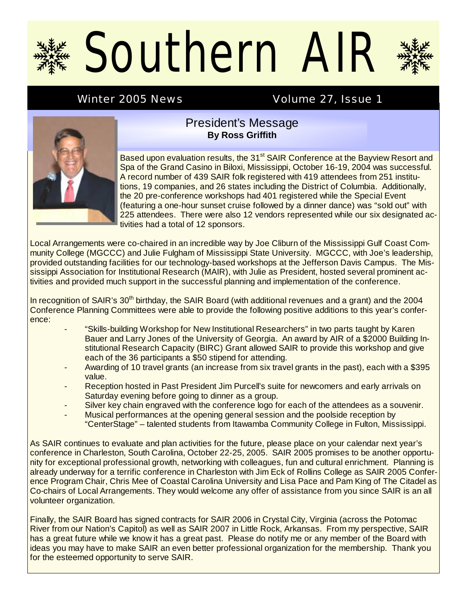# Southern Alf

# Winter 2005 News **Volume 27, Issue 1**



#### President's Message **By Ross Griffith**

Based upon evaluation results, the 31<sup>st</sup> SAIR Conference at the Bayview Resort and Spa of the Grand Casino in Biloxi, Mississippi, October 16-19, 2004 was successful. A record number of 439 SAIR folk registered with 419 attendees from 251 institutions, 19 companies, and 26 states including the District of Columbia. Additionally, the 20 pre-conference workshops had 401 registered while the Special Event (featuring a one-hour sunset cruise followed by a dinner dance) was "sold out" with 225 attendees. There were also 12 vendors represented while our six designated activities had a total of 12 sponsors.

Local Arrangements were co-chaired in an incredible way by Joe Cliburn of the Mississippi Gulf Coast Community College (MGCCC) and Julie Fulgham of Mississippi State University. MGCCC, with Joe's leadership, provided outstanding facilities for our technology-based workshops at the Jefferson Davis Campus. The Mississippi Association for Institutional Research (MAIR), with Julie as President, hosted several prominent activities and provided much support in the successful planning and implementation of the conference.

In recognition of SAIR's 30<sup>th</sup> birthday, the SAIR Board (with additional revenues and a grant) and the 2004 Conference Planning Committees were able to provide the following positive additions to this year's conference:

- "Skills-building Workshop for New Institutional Researchers" in two parts taught by Karen Bauer and Larry Jones of the University of Georgia. An award by AIR of a \$2000 Building Institutional Research Capacity (BIRC) Grant allowed SAIR to provide this workshop and give each of the 36 participants a \$50 stipend for attending.
- Awarding of 10 travel grants (an increase from six travel grants in the past), each with a \$395 value.
- Reception hosted in Past President Jim Purcell's suite for newcomers and early arrivals on Saturday evening before going to dinner as a group.
- Silver key chain engraved with the conference logo for each of the attendees as a souvenir.
- Musical performances at the opening general session and the poolside reception by "CenterStage" – talented students from Itawamba Community College in Fulton, Mississippi.

As SAIR continues to evaluate and plan activities for the future, please place on your calendar next year's conference in Charleston, South Carolina, October 22-25, 2005. SAIR 2005 promises to be another opportunity for exceptional professional growth, networking with colleagues, fun and cultural enrichment. Planning is already underway for a terrific conference in Charleston with Jim Eck of Rollins College as SAIR 2005 Conference Program Chair, Chris Mee of Coastal Carolina University and Lisa Pace and Pam King of The Citadel as Co-chairs of Local Arrangements. They would welcome any offer of assistance from you since SAIR is an all volunteer organization.

Finally, the SAIR Board has signed contracts for SAIR 2006 in Crystal City, Virginia (across the Potomac River from our Nation's Capitol) as well as SAIR 2007 in Little Rock, Arkansas. From my perspective, SAIR has a great future while we know it has a great past. Please do notify me or any member of the Board with ideas you may have to make SAIR an even better professional organization for the membership. Thank you for the esteemed opportunity to serve SAIR.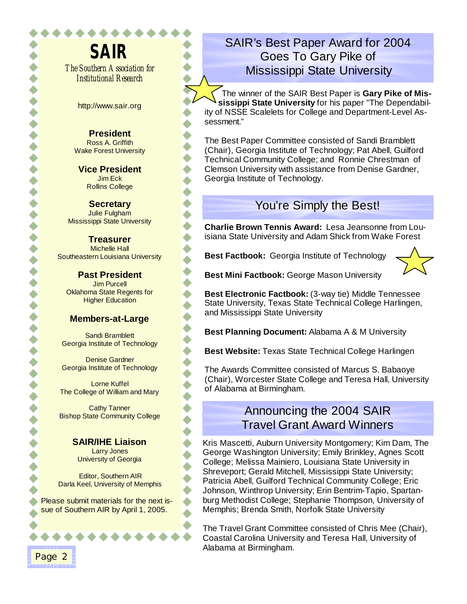**SAIR**  *The Southern Association for Institutional Research*

http://www.sair.org

**President**  Ross A. Griffith Wake Forest University

**Vice President**  Jim Eck Rollins College

**Secretary** Julie Fulgham Mississippi State University

**Treasurer** Michelle Hall Southeastern Louisiana University  $\blacklozenge$  $\bullet$ 

**Past President**  Jim Purcell Oklahoma State Regents for **Higher Education** 

#### **Members-at-Large**

Sandi Bramblett Georgia Institute of Technology

Denise Gardner Georgia Institute of Technology

Lorne Kuffel The College of William and Mary

Cathy Tanner Bishop State Community College

#### **SAIR/IHE Liaison**

Larry Jones University of Georgia

Editor, Southern AIR Darla Keel, University of Memphis

Please submit materials for the next issue of Southern AIR by April 1, 2005.

# SAIR's Best Paper Award for 2004 Goes To Gary Pike of Mississippi State University

The winner of the SAIR Best Paper is **Gary Pike of Mississippi State University** for his paper "The Dependability of NSSE Scalelets for College and Department-Level Assessment."

The Best Paper Committee consisted of Sandi Bramblett (Chair), Georgia Institute of Technology; Pat Abell, Guilford Technical Community College; and Ronnie Chrestman of Clemson University with assistance from Denise Gardner, Georgia Institute of Technology.

# You're Simply the Best!

**Charlie Brown Tennis Award:** Lesa Jeansonne from Louisiana State University and Adam Shick from Wake Forest

**Best Factbook:** Georgia Institute of Technology



**Best Mini Factbook:** George Mason University

**Best Electronic Factbook:** (3-way tie) Middle Tennessee State University, Texas State Technical College Harlingen, and Mississippi State University

**Best Planning Document:** Alabama A & M University

**Best Website:** Texas State Technical College Harlingen

The Awards Committee consisted of Marcus S. Babaoye (Chair), Worcester State College and Teresa Hall, University of Alabama at Birmingham.

# Announcing the 2004 SAIR Travel Grant Award Winners

Kris Mascetti, Auburn University Montgomery; Kim Dam, The George Washington University; Emily Brinkley, Agnes Scott College; Melissa Mainiero, Louisiana State University in Shreveport; Gerald Mitchell, Mississippi State University; Patricia Abell, Guilford Technical Community College; Eric Johnson, Winthrop University; Erin Bentrim-Tapio, Spartanburg Methodist College; Stephanie Thompson, University of Memphis; Brenda Smith, Norfolk State University

The Travel Grant Committee consisted of Chris Mee (Chair), Coastal Carolina University and Teresa Hall, University of Alabama at Birmingham.

Page 2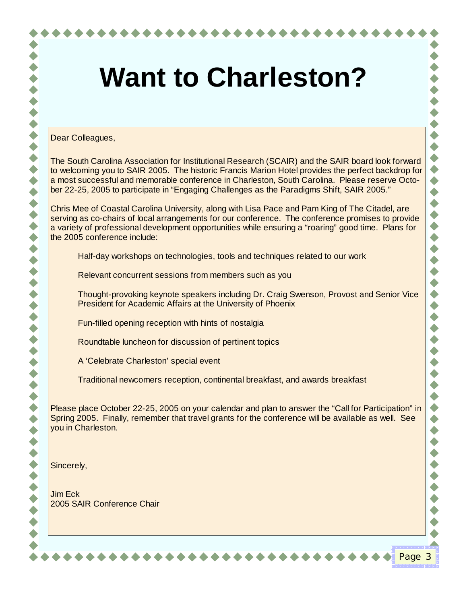#### Dear Colleagues,

The South Carolina Association for Institutional Research (SCAIR) and the SAIR board look forward to welcoming you to SAIR 2005. The historic Francis Marion Hotel provides the perfect backdrop for a most successful and memorable conference in Charleston, South Carolina. Please reserve October 22-25, 2005 to participate in "Engaging Challenges as the Paradigms Shift, SAIR 2005."

Chris Mee of Coastal Carolina University, along with Lisa Pace and Pam King of The Citadel, are serving as co-chairs of local arrangements for our conference. The conference promises to provide a variety of professional development opportunities while ensuring a "roaring" good time. Plans for the 2005 conference include:

Half-day workshops on technologies, tools and techniques related to our work

Relevant concurrent sessions from members such as you

 Thought-provoking keynote speakers including Dr. Craig Swenson, Provost and Senior Vice President for Academic Affairs at the University of Phoenix

Fun-filled opening reception with hints of nostalgia

Roundtable luncheon for discussion of pertinent topics

A 'Celebrate Charleston' special event

Traditional newcomers reception, continental breakfast, and awards breakfast

Please place October 22-25, 2005 on your calendar and plan to answer the "Call for Participation" in Spring 2005. Finally, remember that travel grants for the conference will be available as well. See you in Charleston.

Page 3

Sincerely,

Jim Eck 2005 SAIR Conference Chair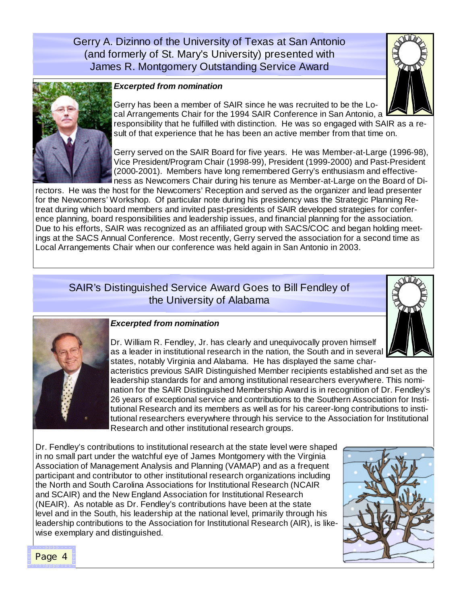Gerry A. Dizinno of the University of Texas at San Antonio (and formerly of St. Mary's University) presented with James R. Montgomery Outstanding Service Award





#### *Excerpted from nomination*

Gerry has been a member of SAIR since he was recruited to be the Local Arrangements Chair for the 1994 SAIR Conference in San Antonio, a responsibility that he fulfilled with distinction. He was so engaged with SAIR as a result of that experience that he has been an active member from that time on.

Gerry served on the SAIR Board for five years. He was Member-at-Large (1996-98), Vice President/Program Chair (1998-99), President (1999-2000) and Past-President (2000-2001). Members have long remembered Gerry's enthusiasm and effectiveness as Newcomers Chair during his tenure as Member-at-Large on the Board of Di-

rectors. He was the host for the Newcomers' Reception and served as the organizer and lead presenter for the Newcomers' Workshop. Of particular note during his presidency was the Strategic Planning Retreat during which board members and invited past-presidents of SAIR developed strategies for conference planning, board responsibilities and leadership issues, and financial planning for the association. Due to his efforts, SAIR was recognized as an affiliated group with SACS/COC and began holding meetings at the SACS Annual Conference. Most recently, Gerry served the association for a second time as Local Arrangements Chair when our conference was held again in San Antonio in 2003.

### SAIR's Distinguished Service Award Goes to Bill Fendley of the University of Alabama





#### *Excerpted from nomination*

Dr. William R. Fendley, Jr. has clearly and unequivocally proven himself as a leader in institutional research in the nation, the South and in several states, notably Virginia and Alabama. He has displayed the same char-

acteristics previous SAIR Distinguished Member recipients established and set as the leadership standards for and among institutional researchers everywhere. This nomination for the SAIR Distinguished Membership Award is in recognition of Dr. Fendley's 26 years of exceptional service and contributions to the Southern Association for Institutional Research and its members as well as for his career-long contributions to institutional researchers everywhere through his service to the Association for Institutional Research and other institutional research groups.

Dr. Fendley's contributions to institutional research at the state level were shaped in no small part under the watchful eye of James Montgomery with the Virginia Association of Management Analysis and Planning (VAMAP) and as a frequent participant and contributor to other institutional research organizations including the North and South Carolina Associations for Institutional Research (NCAIR and SCAIR) and the New England Association for Institutional Research (NEAIR). As notable as Dr. Fendley's contributions have been at the state level and in the South, his leadership at the national level, primarily through his leadership contributions to the Association for Institutional Research (AIR), is likewise exemplary and distinguished.

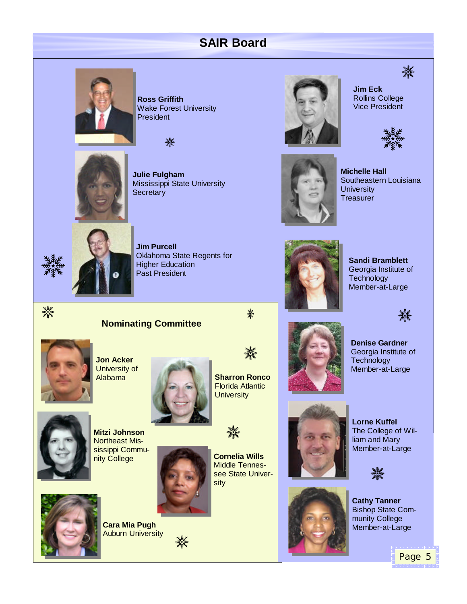# **SAIR Board**



**Ross Griffith**  Wake Forest University President





**Julie Fulgham** Mississippi State University **Secretary** 



鱳







**Michelle Hall** Southeastern Louisiana **University Treasurer** 

**Sandi Bramblett** Georgia Institute of

**Technology** Member-at-Large



**Jim Purcell** Oklahoma State Regents for Higher Education Past President

紫禁



**Jon Acker** University of Alabama



**Sharron Ronco** Florida Atlantic **University** 

蒸

灘



紫紫







▓▓

**Lorne Kuffel**  The College of William and Mary Member-at-Large

**Cathy Tanner**  Bishop State Community College Member-at-Large



**Mitzi Johnson**  Northeast Mississippi Community College

**Cara Mia Pugh**  Auburn University



灘

**Cornelia Wills** Middle Tennessee State University





Georgia Institute of **Technology** Member-at-Large

▓▓

Page 5

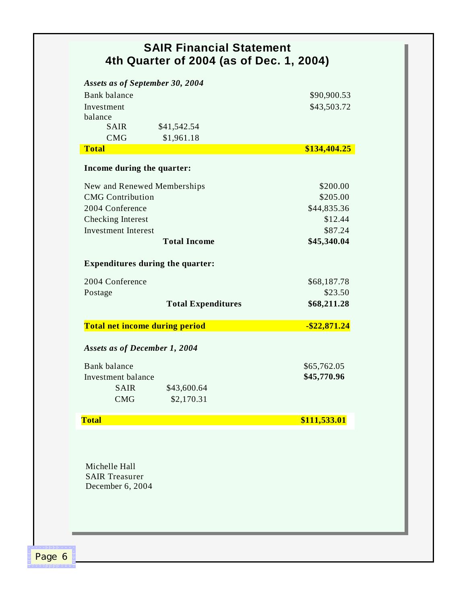| <b>SAIR Financial Statement</b><br>4th Quarter of 2004 (as of Dec. 1, 2004) |                           |                        |
|-----------------------------------------------------------------------------|---------------------------|------------------------|
| Assets as of September 30, 2004                                             |                           |                        |
| Bank balance                                                                |                           | \$90,900.53            |
| Investment                                                                  |                           | \$43,503.72            |
| balance                                                                     |                           |                        |
| <b>SAIR</b>                                                                 | \$41,542.54               |                        |
| <b>CMG</b><br><b>Total</b>                                                  | \$1,961.18                | \$134,404.25           |
| Income during the quarter:                                                  |                           |                        |
|                                                                             |                           |                        |
| New and Renewed Memberships                                                 |                           | \$200.00               |
| <b>CMG</b> Contribution                                                     |                           | \$205.00               |
| 2004 Conference                                                             |                           | \$44,835.36            |
| <b>Checking Interest</b>                                                    |                           | \$12.44                |
| <b>Investment Interest</b>                                                  | <b>Total Income</b>       | \$87.24<br>\$45,340.04 |
|                                                                             |                           |                        |
| <b>Expenditures during the quarter:</b>                                     |                           |                        |
| 2004 Conference                                                             |                           | \$68,187.78            |
| Postage                                                                     |                           | \$23.50                |
|                                                                             | <b>Total Expenditures</b> | \$68,211.28            |
| <b>Total net income during period</b>                                       |                           | $-$ \$22,871.24        |
| <b>Assets as of December 1, 2004</b>                                        |                           |                        |
| <b>Bank</b> balance                                                         |                           | \$65,762.05            |
| Investment balance                                                          |                           | \$45,770.96            |
| <b>SAIR</b>                                                                 | \$43,600.64               |                        |
| <b>CMG</b>                                                                  | \$2,170.31                |                        |
| <b>Total</b>                                                                |                           | \$111,533.01           |
|                                                                             |                           |                        |
| Michelle Hall<br><b>SAIR Treasurer</b>                                      |                           |                        |
| December 6, 2004                                                            |                           |                        |
|                                                                             |                           |                        |
|                                                                             |                           |                        |

Page 6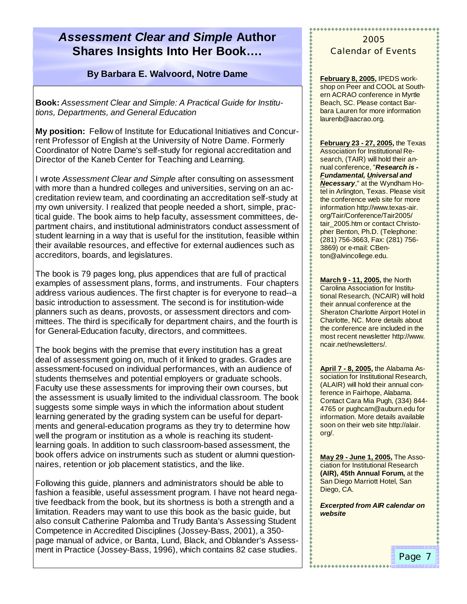# *Assessment Clear and Simple* **Author Shares Insights Into Her Book… .**

#### **By Barbara E. Walvoord, Notre Dame**

**Book:** *Assessment Clear and Simple: A Practical Guide for Institutions, Departments, and General Education* 

**My position:** Fellow of Institute for Educational Initiatives and Concurrent Professor of English at the University of Notre Dame. Formerly Coordinator of Notre Dame's self-study for regional accreditation and Director of the Kaneb Center for Teaching and Learning.

I wrote *Assessment Clear and Simple* after consulting on assessment with more than a hundred colleges and universities, serving on an accreditation review team, and coordinating an accreditation self-study at my own university. I realized that people needed a short, simple, practical guide. The book aims to help faculty, assessment committees, department chairs, and institutional administrators conduct assessment of student learning in a way that is useful for the institution, feasible within their available resources, and effective for external audiences such as accreditors, boards, and legislatures.

The book is 79 pages long, plus appendices that are full of practical examples of assessment plans, forms, and instruments. Four chapters address various audiences. The first chapter is for everyone to read--a basic introduction to assessment. The second is for institution-wide planners such as deans, provosts, or assessment directors and committees. The third is specifically for department chairs, and the fourth is for General-Education faculty, directors, and committees.

The book begins with the premise that every institution has a great deal of assessment going on, much of it linked to grades. Grades are assessment-focused on individual performances, with an audience of students themselves and potential employers or graduate schools. Faculty use these assessments for improving their own courses, but the assessment is usually limited to the individual classroom. The book suggests some simple ways in which the information about student learning generated by the grading system can be useful for departments and general-education programs as they try to determine how well the program or institution as a whole is reaching its studentlearning goals. In addition to such classroom-based assessment, the book offers advice on instruments such as student or alumni questionnaires, retention or job placement statistics, and the like.

Following this guide, planners and administrators should be able to fashion a feasible, useful assessment program. I have not heard negative feedback from the book, but its shortness is both a strength and a limitation. Readers may want to use this book as the basic guide, but also consult Catherine Palomba and Trudy Banta's Assessing Student Competence in Accredited Disciplines (Jossey-Bass, 2001), a 350 page manual of advice, or Banta, Lund, Black, and Oblander's Assessment in Practice (Jossey-Bass, 1996), which contains 82 case studies.

#### 2005 Calendar of Events

\*\*\*\*\*\*\*\*\*\*\*\*\*\*\*\*\*\*\*\*\*\*\*\*

**February 8, 2005,** IPEDS workshop on Peer and COOL at Southern ACRAO conference in Myrtle Beach, SC. Please contact Barbara Lauren for more information laurenb@aacrao.org.

**February 23 - 27, 2005,** the Texas Association for Institutional Research, (TAIR) will hold their annual conference, "*Research is - Fundamental, Universal and Necessary*," at the Wyndham Hotel in Arlington, Texas. Please visit the conference web site for more information http://www.texas-air. org/Tair/Conference/Tair2005/ tair\_2005.htm or contact Christopher Benton, Ph.D. (Telephone: (281) 756-3663, Fax: (281) 756- 3869) or e-mail: CBenton@alvincollege.edu.

**March 9 - 11, 2005,** the North Carolina Association for Institutional Research, (NCAIR) will hold their annual conference at the Sheraton Charlotte Airport Hotel in Charlotte, NC. More details about the conference are included in the most recent newsletter http://www. ncair.net/newsletters/.

**April 7 - 8, 2005,** the Alabama Association for Institutional Research, (ALAIR) will hold their annual conference in Fairhope, Alabama. Contact Cara Mia Pugh, (334) 844- 4765 or pughcam@auburn.edu for information. More details available soon on their web site http://alair. org/.

**May 29 - June 1, 2005,** The Association for Institutional Research **(AIR), 45th Annual Forum,** at the San Diego Marriott Hotel, San Diego, CA.

*Excerpted from AIR calendar on website*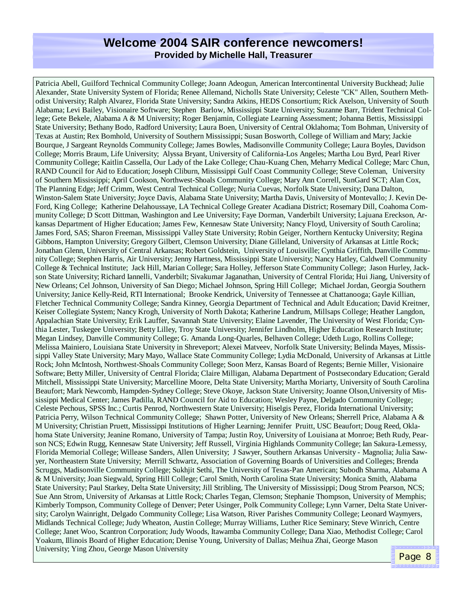#### **Welcome 2004 SAIR conference newcomers! Provided by Michelle Hall, Treasurer**

Patricia Abell, Guilford Technical Community College; Joann Adeogun, American Intercontinental University Buckhead; Julie Alexander, State University System of Florida; Renee Allemand, Nicholls State University; Celeste "CK" Allen, Southern Methodist University; Ralph Alvarez, Florida State University; Sandra Atkins, HEDS Consortium; Rick Axelson, University of South Alabama; Levi Bailey, Visionaire Software; Stephen Barlow, Mississippi State University; Suzanne Barr, Trident Technical College; Gete Bekele, Alabama A & M University; Roger Benjamin, Collegiate Learning Assessment; Johanna Bettis, Mississippi State University; Bethany Bodo, Radford University; Laura Boen, University of Central Oklahoma; Tom Bohman, University of Texas at Austin; Rex Bomhold, University of Southern Mississippi; Susan Bosworth, College of William and Mary; Jackie Bourque, J Sargeant Reynolds Community College; James Bowles, Madisonville Community College; Laura Boyles, Davidson College; Morris Braum, Life University; Alyssa Bryant, University of California-Los Angeles; Martha Lou Byrd, Pearl River Community College; Kaitlin Cassella, Our Lady of the Lake College; Chau-Kuang Chen, Meharry Medical College; Marc Chun, RAND Council for Aid to Education; Joseph Cliburn, Mississippi Gulf Coast Community College; Steve Coleman, University of Southern Mississippi; April Cookson, Northwest-Shoals Community College; Mary Ann Correll, SunGard SCT; Alan Cox, The Planning Edge; Jeff Crimm, West Central Technical College; Nuria Cuevas, Norfolk State University; Dana Dalton, Winston-Salem State University; Joyce Davis, Alabama State University; Martha Davis, University of Montevallo; J. Kevin De-Ford, King College; Katherine Delahoussaye, LA Technical College Greater Acadiana District; Rosemary Dill, Coahoma Community College; D Scott Dittman, Washington and Lee University; Faye Dorman, Vanderbilt University; Lajuana Ereckson, Arkansas Department of Higher Education; James Few, Kennesaw State University; Nancy Floyd, University of South Carolina; James Ford, SAS; Sharon Freeman, Mississippi Valley State University; Robin Geiger, Northern Kentucky University; Regina Gibbons, Hampton University; Gregory Gilbert, Clemson University; Diane Gilleland, University of Arkansas at Little Rock; Jonathan Glenn, University of Central Arkansas; Robert Goldstein, University of Louisville; Cynthia Griffith, Danville Community College; Stephen Harris, Air University; Jenny Hartness, Mississippi State University; Nancy Hatley, Caldwell Community College & Technical Institute; Jack Hill, Marian College; Sara Holley, Jefferson State Community College; Jason Hurley, Jackson State University; Richard Iannelli, Vanderbilt; Sivakumar Jaganathan, University of Central Florida; Hui Jiang, University of New Orleans; Cel Johnson, University of San Diego; Michael Johnson, Spring Hill College; Michael Jordan, Georgia Southern University; Janice Kelly-Reid, RTI International; Brooke Kendrick, University of Tennessee at Chattanooga; Gayle Killian, Fletcher Technical Community College; Sandra Kinney, Georgia Department of Technical and Adult Education; David Kreitner, Keiser Collegiate System; Nancy Krogh, University of North Dakota; Katherine Landrum, Millsaps College; Heather Langdon, Appalachian State University; Erik Lauffer, Savannah State University; Elaine Lavender, The University of West Florida; Cynthia Lester, Tuskegee University; Betty Lilley, Troy State University; Jennifer Lindholm, Higher Education Research Institute; Megan Lindsey, Danville Community College; G. Amanda Long-Quarles, Belhaven College; Udeth Lugo, Rollins College; Melissa Mainiero, Louisiana State University in Shreveport; Alexei Matveev, Norfolk State University; Belinda Mayes, Mississippi Valley State University; Mary Mayo, Wallace State Community College; Lydia McDonald, University of Arkansas at Little Rock; John McIntosh, Northwest-Shoals Community College; Soon Merz, Kansas Board of Regents; Bernie Miller, Visionaire Software; Betty Miller, University of Central Florida; Claire Milligan, Alabama Department of Postsecondary Education; Gerald Mitchell, Mississippi State University; Marcelline Moore, Delta State University; Martha Moriarty, University of South Carolina Beaufort; Mark Newcomb, Hampden-Sydney College; Steve Okoye, Jackson State University; Joanne Olson,University of Mississippi Medical Center; James Padilla, RAND Council for Aid to Education; Wesley Payne, Delgado Community College; Celeste Pechous, SPSS Inc.; Curtis Penrod, Northwestern State University; Hiselgis Perez, Florida International University; Patricia Perry, Wilson Technical Community College; Shawn Potter, University of New Orleans; Sherrell Price, Alabama A & M University; Christian Pruett, Mississippi Institutions of Higher Learning; Jennifer Pruitt, USC Beaufort; Doug Reed, Oklahoma State University; Jeanine Romano, University of Tampa; Justin Roy, University of Louisiana at Monroe; Beth Rudy, Pearson NCS; Edwin Rugg, Kennesaw State University; Jeff Russell, Virginia Highlands Community College; Ian Sakura-Lemessy, Florida Memorial College; Willease Sanders, Allen University; J Sawyer, Southern Arkansas University - Magnolia; Julia Sawyer, Northeastern State University; Merrill Schwartz, Association of Governing Boards of Universities and Colleges; Brenda Scruggs, Madisonville Community College; Sukhjit Sethi, The University of Texas-Pan American; Subodh Sharma, Alabama A & M University; Joan Siegwald, Spring Hill College; Carol Smith, North Carolina State University; Monica Smith, Alabama State University; Paul Starkey, Delta State University; Jill Stribling, The University of Mississippi; Doug Strom Pearson, NCS; Sue Ann Strom, University of Arkansas at Little Rock; Charles Tegan, Clemson; Stephanie Thompson, University of Memphis; Kimberly Tompson, Community College of Denver; Peter Usinger, Polk Community College; Lynn Varner, Delta State University; Carolyn Wainright, Delgado Community College; Lisa Watson, River Parishes Community College; Leonard Waymyers, Midlands Technical College; Judy Wheaton, Austin College; Murray Williams, Luther Rice Seminary; Steve Winrich, Centre College; Janet Woo, Scantron Corporation; Judy Woods, Itawamba Community College; Dana Xiao, Methodist College; Carol Yoakum, Illinois Board of Higher Education; Denise Young, University of Dallas; Meihua Zhai, George Mason University; Ying Zhou, George Mason University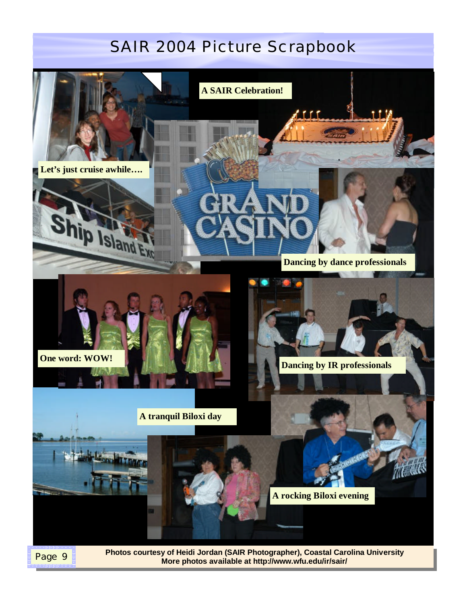# SAIR 2004 Picture Scrapbook



**More photos available at http://www.wfu.edu/ir/sair/**